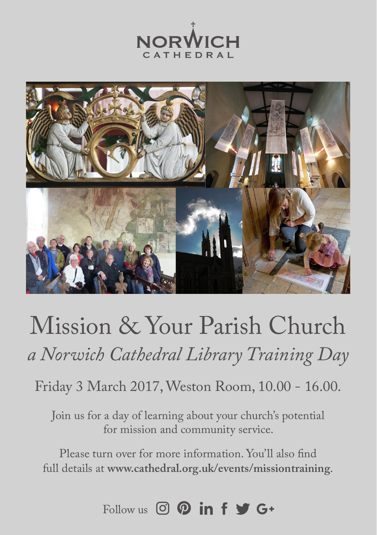



## Mission & Your Parish Church *a Norwich Cathedral Library Training Day*

Friday 3 March 2017, Weston Room, 10.00 - 16.00.

Join us for a day of learning about your church's potential for mission and community service.

Please turn over for more information. You'll also find full details at **www.cathedral.org.uk/events/missiontraining**.